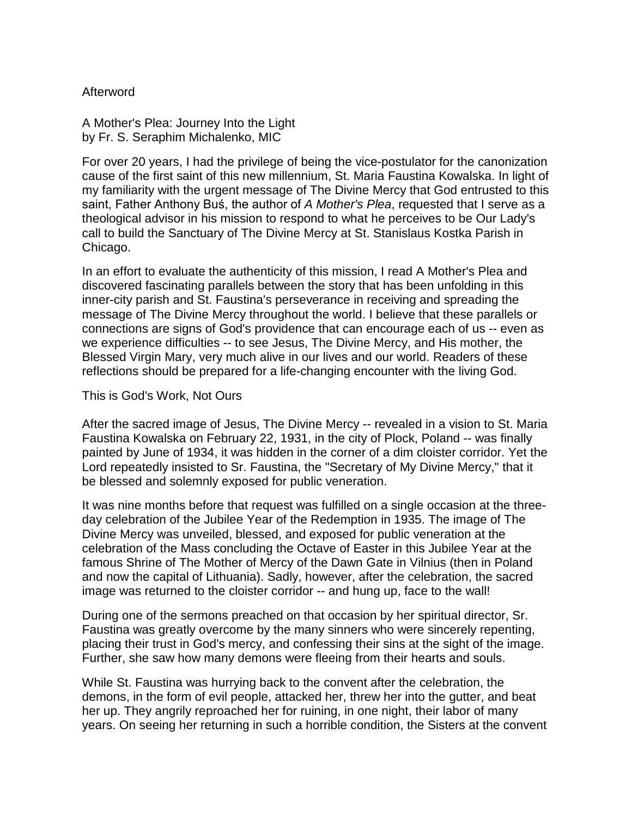## **Afterword**

A Mother's Plea: Journey Into the Light by Fr. S. Seraphim Michalenko, MIC

For over 20 years, I had the privilege of being the vice-postulator for the canonization cause of the first saint of this new millennium, St. Maria Faustina Kowalska. In light of my familiarity with the urgent message of The Divine Mercy that God entrusted to this saint, Father Anthony Buś, the author of *A Mother's Plea*, requested that I serve as a theological advisor in his mission to respond to what he perceives to be Our Lady's call to build the Sanctuary of The Divine Mercy at St. Stanislaus Kostka Parish in Chicago.

In an effort to evaluate the authenticity of this mission, I read A Mother's Plea and discovered fascinating parallels between the story that has been unfolding in this inner-city parish and St. Faustina's perseverance in receiving and spreading the message of The Divine Mercy throughout the world. I believe that these parallels or connections are signs of God's providence that can encourage each of us -- even as we experience difficulties -- to see Jesus, The Divine Mercy, and His mother, the Blessed Virgin Mary, very much alive in our lives and our world. Readers of these reflections should be prepared for a life-changing encounter with the living God.

## This is God's Work, Not Ours

After the sacred image of Jesus, The Divine Mercy -- revealed in a vision to St. Maria Faustina Kowalska on February 22, 1931, in the city of Plock, Poland -- was finally painted by June of 1934, it was hidden in the corner of a dim cloister corridor. Yet the Lord repeatedly insisted to Sr. Faustina, the "Secretary of My Divine Mercy," that it be blessed and solemnly exposed for public veneration.

It was nine months before that request was fulfilled on a single occasion at the threeday celebration of the Jubilee Year of the Redemption in 1935. The image of The Divine Mercy was unveiled, blessed, and exposed for public veneration at the celebration of the Mass concluding the Octave of Easter in this Jubilee Year at the famous Shrine of The Mother of Mercy of the Dawn Gate in Vilnius (then in Poland and now the capital of Lithuania). Sadly, however, after the celebration, the sacred image was returned to the cloister corridor -- and hung up, face to the wall!

During one of the sermons preached on that occasion by her spiritual director, Sr. Faustina was greatly overcome by the many sinners who were sincerely repenting, placing their trust in God's mercy, and confessing their sins at the sight of the image. Further, she saw how many demons were fleeing from their hearts and souls.

While St. Faustina was hurrying back to the convent after the celebration, the demons, in the form of evil people, attacked her, threw her into the gutter, and beat her up. They angrily reproached her for ruining, in one night, their labor of many years. On seeing her returning in such a horrible condition, the Sisters at the convent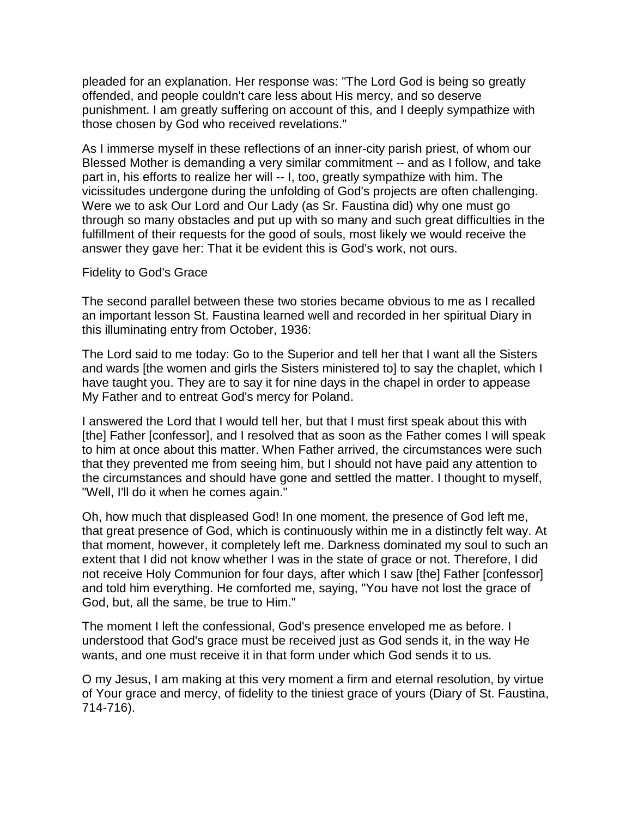pleaded for an explanation. Her response was: "The Lord God is being so greatly offended, and people couldn't care less about His mercy, and so deserve punishment. I am greatly suffering on account of this, and I deeply sympathize with those chosen by God who received revelations."

As I immerse myself in these reflections of an inner-city parish priest, of whom our Blessed Mother is demanding a very similar commitment -- and as I follow, and take part in, his efforts to realize her will -- I, too, greatly sympathize with him. The vicissitudes undergone during the unfolding of God's projects are often challenging. Were we to ask Our Lord and Our Lady (as Sr. Faustina did) why one must go through so many obstacles and put up with so many and such great difficulties in the fulfillment of their requests for the good of souls, most likely we would receive the answer they gave her: That it be evident this is God's work, not ours.

## Fidelity to God's Grace

The second parallel between these two stories became obvious to me as I recalled an important lesson St. Faustina learned well and recorded in her spiritual Diary in this illuminating entry from October, 1936:

The Lord said to me today: Go to the Superior and tell her that I want all the Sisters and wards [the women and girls the Sisters ministered to] to say the chaplet, which I have taught you. They are to say it for nine days in the chapel in order to appease My Father and to entreat God's mercy for Poland.

I answered the Lord that I would tell her, but that I must first speak about this with [the] Father [confessor], and I resolved that as soon as the Father comes I will speak to him at once about this matter. When Father arrived, the circumstances were such that they prevented me from seeing him, but I should not have paid any attention to the circumstances and should have gone and settled the matter. I thought to myself, "Well, I'll do it when he comes again."

Oh, how much that displeased God! In one moment, the presence of God left me, that great presence of God, which is continuously within me in a distinctly felt way. At that moment, however, it completely left me. Darkness dominated my soul to such an extent that I did not know whether I was in the state of grace or not. Therefore, I did not receive Holy Communion for four days, after which I saw [the] Father [confessor] and told him everything. He comforted me, saying, "You have not lost the grace of God, but, all the same, be true to Him."

The moment I left the confessional, God's presence enveloped me as before. I understood that God's grace must be received just as God sends it, in the way He wants, and one must receive it in that form under which God sends it to us.

O my Jesus, I am making at this very moment a firm and eternal resolution, by virtue of Your grace and mercy, of fidelity to the tiniest grace of yours (Diary of St. Faustina, 714-716).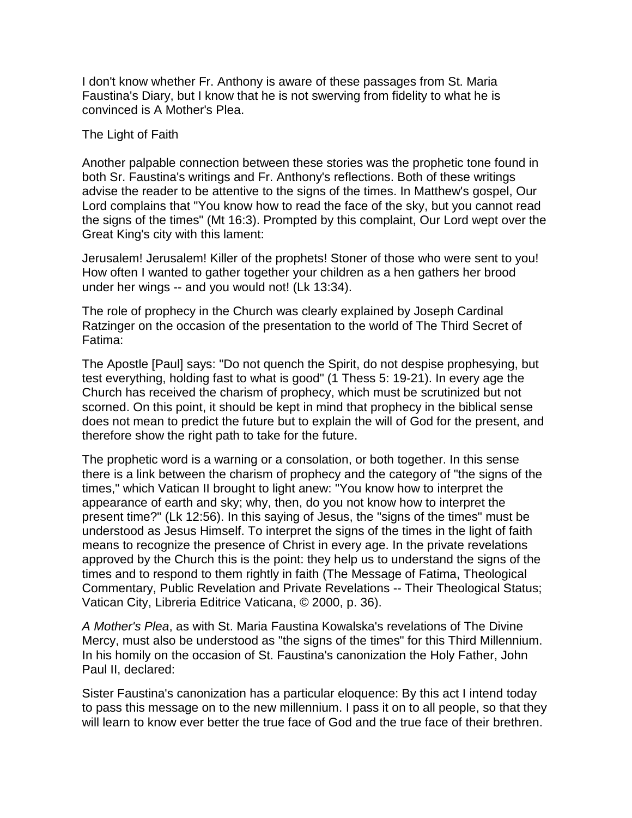I don't know whether Fr. Anthony is aware of these passages from St. Maria Faustina's Diary, but I know that he is not swerving from fidelity to what he is convinced is A Mother's Plea.

## The Light of Faith

Another palpable connection between these stories was the prophetic tone found in both Sr. Faustina's writings and Fr. Anthony's reflections. Both of these writings advise the reader to be attentive to the signs of the times. In Matthew's gospel, Our Lord complains that "You know how to read the face of the sky, but you cannot read the signs of the times" (Mt 16:3). Prompted by this complaint, Our Lord wept over the Great King's city with this lament:

Jerusalem! Jerusalem! Killer of the prophets! Stoner of those who were sent to you! How often I wanted to gather together your children as a hen gathers her brood under her wings -- and you would not! (Lk 13:34).

The role of prophecy in the Church was clearly explained by Joseph Cardinal Ratzinger on the occasion of the presentation to the world of The Third Secret of Fatima:

The Apostle [Paul] says: "Do not quench the Spirit, do not despise prophesying, but test everything, holding fast to what is good" (1 Thess 5: 19-21). In every age the Church has received the charism of prophecy, which must be scrutinized but not scorned. On this point, it should be kept in mind that prophecy in the biblical sense does not mean to predict the future but to explain the will of God for the present, and therefore show the right path to take for the future.

The prophetic word is a warning or a consolation, or both together. In this sense there is a link between the charism of prophecy and the category of "the signs of the times," which Vatican II brought to light anew: "You know how to interpret the appearance of earth and sky; why, then, do you not know how to interpret the present time?" (Lk 12:56). In this saying of Jesus, the "signs of the times" must be understood as Jesus Himself. To interpret the signs of the times in the light of faith means to recognize the presence of Christ in every age. In the private revelations approved by the Church this is the point: they help us to understand the signs of the times and to respond to them rightly in faith (The Message of Fatima, Theological Commentary, Public Revelation and Private Revelations -- Their Theological Status; Vatican City, Libreria Editrice Vaticana, © 2000, p. 36).

*A Mother's Plea*, as with St. Maria Faustina Kowalska's revelations of The Divine Mercy, must also be understood as "the signs of the times" for this Third Millennium. In his homily on the occasion of St. Faustina's canonization the Holy Father, John Paul II, declared:

Sister Faustina's canonization has a particular eloquence: By this act I intend today to pass this message on to the new millennium. I pass it on to all people, so that they will learn to know ever better the true face of God and the true face of their brethren.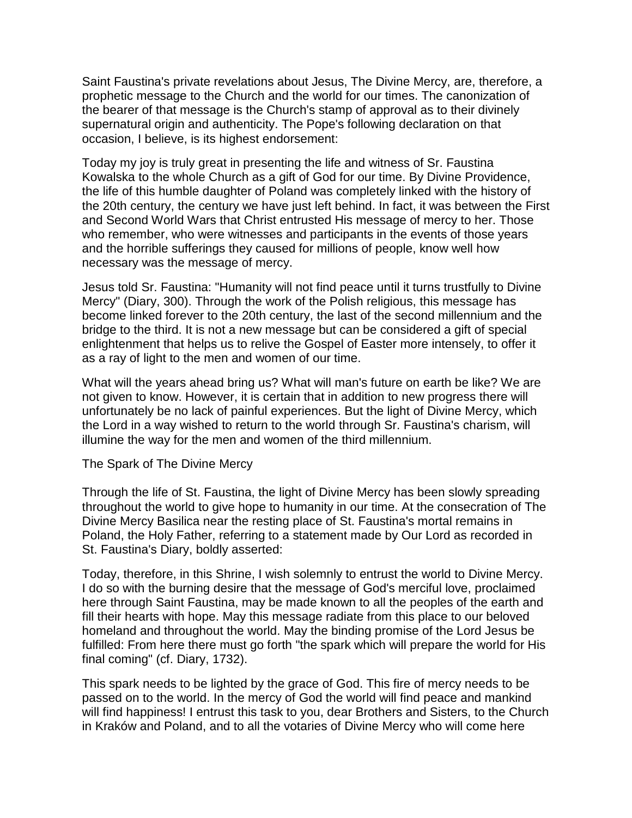Saint Faustina's private revelations about Jesus, The Divine Mercy, are, therefore, a prophetic message to the Church and the world for our times. The canonization of the bearer of that message is the Church's stamp of approval as to their divinely supernatural origin and authenticity. The Pope's following declaration on that occasion, I believe, is its highest endorsement:

Today my joy is truly great in presenting the life and witness of Sr. Faustina Kowalska to the whole Church as a gift of God for our time. By Divine Providence, the life of this humble daughter of Poland was completely linked with the history of the 20th century, the century we have just left behind. In fact, it was between the First and Second World Wars that Christ entrusted His message of mercy to her. Those who remember, who were witnesses and participants in the events of those years and the horrible sufferings they caused for millions of people, know well how necessary was the message of mercy.

Jesus told Sr. Faustina: "Humanity will not find peace until it turns trustfully to Divine Mercy" (Diary, 300). Through the work of the Polish religious, this message has become linked forever to the 20th century, the last of the second millennium and the bridge to the third. It is not a new message but can be considered a gift of special enlightenment that helps us to relive the Gospel of Easter more intensely, to offer it as a ray of light to the men and women of our time.

What will the years ahead bring us? What will man's future on earth be like? We are not given to know. However, it is certain that in addition to new progress there will unfortunately be no lack of painful experiences. But the light of Divine Mercy, which the Lord in a way wished to return to the world through Sr. Faustina's charism, will illumine the way for the men and women of the third millennium.

The Spark of The Divine Mercy

Through the life of St. Faustina, the light of Divine Mercy has been slowly spreading throughout the world to give hope to humanity in our time. At the consecration of The Divine Mercy Basilica near the resting place of St. Faustina's mortal remains in Poland, the Holy Father, referring to a statement made by Our Lord as recorded in St. Faustina's Diary, boldly asserted:

Today, therefore, in this Shrine, I wish solemnly to entrust the world to Divine Mercy. I do so with the burning desire that the message of God's merciful love, proclaimed here through Saint Faustina, may be made known to all the peoples of the earth and fill their hearts with hope. May this message radiate from this place to our beloved homeland and throughout the world. May the binding promise of the Lord Jesus be fulfilled: From here there must go forth "the spark which will prepare the world for His final coming" (cf. Diary, 1732).

This spark needs to be lighted by the grace of God. This fire of mercy needs to be passed on to the world. In the mercy of God the world will find peace and mankind will find happiness! I entrust this task to you, dear Brothers and Sisters, to the Church in Kraków and Poland, and to all the votaries of Divine Mercy who will come here